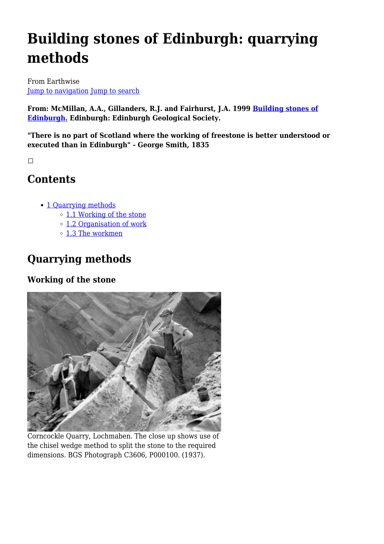# **Building stones of Edinburgh: quarrying methods**

From Earthwise [Jump to navigation](#page--1-0) [Jump to search](#page--1-0)

**From: McMillan, A.A., Gillanders, R.J. and Fairhurst, J.A. 1999 [Building stones of](http://earthwise.bgs.ac.uk/index.php/Building_stones_of_Edinburgh._2nd_edition.) [Edinburgh.](http://earthwise.bgs.ac.uk/index.php/Building_stones_of_Edinburgh._2nd_edition.) Edinburgh: Edinburgh Geological Society.**

**"There is no part of Scotland where the working of freestone is better understood or executed than in Edinburgh" - George Smith, 1835**

 $\Box$ 

## **Contents**

- [1](#page--1-0) [Quarrying methods](#page--1-0)
	- o [1.1](#page--1-0) [Working of the stone](#page--1-0)
	- [1.2](#page--1-0) [Organisation of work](#page--1-0)
	- o [1.3](#page--1-0) [The workmen](#page--1-0)

# **Quarrying methods**

### **Working of the stone**



Corncockle Quarry, Lochmaben. The close up shows use of the chisel wedge method to split the stone to the required dimensions. BGS Photograph C3606, P000100. (1937).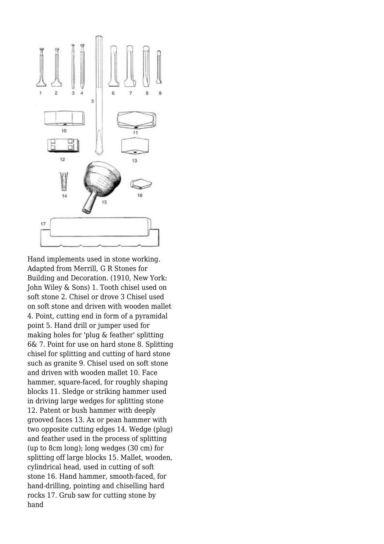

Hand implements used in stone working. Adapted from Merrill, G R Stones for Building and Decoration. (1910, New York: John Wiley & Sons) 1. Tooth chisel used on soft stone 2. Chisel or drove 3 Chisel used on soft stone and driven with wooden mallet 4. Point, cutting end in form of a pyramidal point 5. Hand drill or jumper used for making holes for 'plug & feather' splitting 6& 7. Point for use on hard stone 8. Splitting chisel for splitting and cutting of hard stone such as granite 9. Chisel used on soft stone and driven with wooden mallet 10. Face hammer, square-faced, for roughly shaping blocks 11. Sledge or striking hammer used in driving large wedges for splitting stone 12. Patent or bush hammer with deeply grooved faces 13. Ax or pean hammer with two opposite cutting edges 14. Wedge (plug) and feather used in the process of splitting (up to 8cm long); long wedges (30 cm) for splitting off large blocks 15. Mallet, wooden, cylindrical head, used in cutting of soft stone 16. Hand hammer, smooth-faced, for hand-drilling, pointing and chiselling hard rocks 17. Grub saw for cutting stone by hand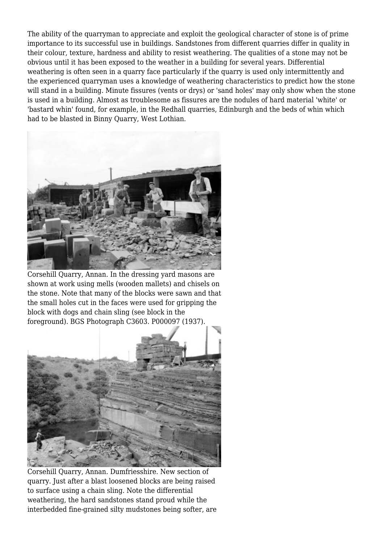The ability of the quarryman to appreciate and exploit the geological character of stone is of prime importance to its successful use in buildings. Sandstones from different quarries differ in quality in their colour, texture, hardness and ability to resist weathering. The qualities of a stone may not be obvious until it has been exposed to the weather in a building for several years. Differential weathering is often seen in a quarry face particularly if the quarry is used only intermittently and the experienced quarryman uses a knowledge of weathering characteristics to predict how the stone will stand in a building. Minute fissures (vents or drys) or 'sand holes' may only show when the stone is used in a building. Almost as troublesome as fissures are the nodules of hard material 'white' or 'bastard whin' found, for example, in the Redhall quarries, Edinburgh and the beds of whin which had to be blasted in Binny Quarry, West Lothian.



Corsehill Quarry, Annan. In the dressing yard masons are shown at work using mells (wooden mallets) and chisels on the stone. Note that many of the blocks were sawn and that the small holes cut in the faces were used for gripping the block with dogs and chain sling (see block in the foreground). BGS Photograph C3603. P000097 (1937).



Corsehill Quarry, Annan. Dumfriesshire. New section of quarry. Just after a blast loosened blocks are being raised to surface using a chain sling. Note the differential weathering, the hard sandstones stand proud while the interbedded fine-grained silty mudstones being softer, are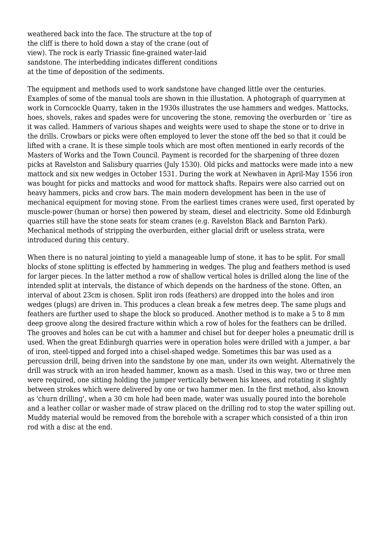weathered back into the face. The structure at the top of the cliff is there to hold down a stay of the crane (out of view). The rock is early Triassic fine-grained water-laid sandstone. The interbedding indicates different conditions at the time of deposition of the sediments.

The equipment and methods used to work sandstone have changed little over the centuries. Examples of some of the manual tools are shown in thie illustation. A photograph of quarrymen at work in Corncockle Quarry, taken in the 1930s illustrates the use hammers and wedges. Mattocks, hoes, shovels, rakes and spades were for uncovering the stone, removing the overburden or `tire as it was called. Hammers of various shapes and weights were used to shape the stone or to drive in the drills. Crowbars or picks were often employed to lever the stone off the bed so that it could be lifted with a crane. It is these simple tools which are most often mentioned in early records of the Masters of Works and the Town Council. Payment is recorded for the sharpening of three dozen picks at Ravelston and Salisbury quarries (July 1530). Old picks and mattocks were made into a new mattock and six new wedges in October 1531. During the work at Newhaven in April-May 1556 iron was bought for picks and mattocks and wood for mattock shafts. Repairs were also carried out on heavy hammers, picks and crow bars. The main modern development has been in the use of mechanical equipment for moving stone. From the earliest times cranes were used, first operated by muscle-power (human or horse) then powered by steam, diesel and electricity. Some old Edinburgh quarries still have the stone seats for steam cranes (e.g. Ravelston Black and Barnton Park). Mechanical methods of stripping the overburden, either glacial drift or useless strata, were introduced during this century.

When there is no natural jointing to yield a manageable lump of stone, it has to be split. For small blocks of stone splitting is effected by hammering in wedges. The plug and feathers method is used for larger pieces. In the latter method a row of shallow vertical holes is drilled along the line of the intended split at intervals, the distance of which depends on the hardness of the stone. Often, an interval of about 23cm is chosen. Split iron rods (feathers) are dropped into the holes and iron wedges (plugs) are driven in. This produces a clean break a few metres deep. The same plugs and feathers are further used to shape the block so produced. Another method is to make a 5 to 8 mm deep groove along the desired fracture within which a row of holes for the feathers can be drilled. The grooves and holes can be cut with a hammer and chisel but for deeper holes a pneumatic drill is used. When the great Edinburgh quarries were in operation holes were drilled with a jumper, a bar of iron, steel-tipped and forged into a chisel-shaped wedge. Sometimes this bar was used as a percussion drill, being driven into the sandstone by one man, under its own weight. Alternatively the drill was struck with an iron headed hammer, known as a mash. Used in this way, two or three men were required, one sitting holding the jumper vertically between his knees, and rotating it slightly between strokes which were delivered by one or two hammer men. In the first method, also known as 'churn drilling', when a 30 cm hole had been made, water was usually poured into the borehole and a leather collar or washer made of straw placed on the drilling rod to stop the water spilling out. Muddy material would be removed from the borehole with a scraper which consisted of a thin iron rod with a disc at the end.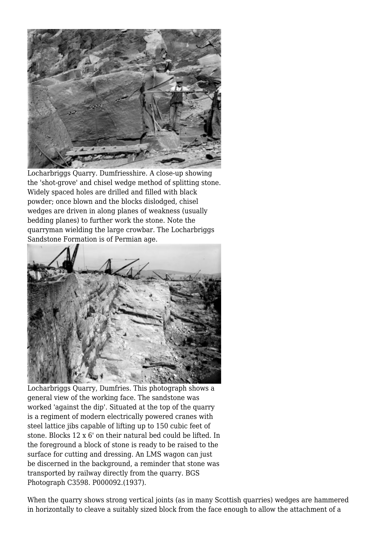

Locharbriggs Quarry. Dumfriesshire. A close-up showing the 'shot-grove' and chisel wedge method of splitting stone. Widely spaced holes are drilled and filled with black powder; once blown and the blocks dislodged, chisel wedges are driven in along planes of weakness (usually bedding planes) to further work the stone. Note the quarryman wielding the large crowbar. The Locharbriggs Sandstone Formation is of Permian age.



Locharbriggs Quarry, Dumfries. This photograph shows a general view of the working face. The sandstone was worked 'against the dip'. Situated at the top of the quarry is a regiment of modern electrically powered cranes with steel lattice jibs capable of lifting up to 150 cubic feet of stone. Blocks 12 x 6' on their natural bed could be lifted. In the foreground a block of stone is ready to be raised to the surface for cutting and dressing. An LMS wagon can just be discerned in the background, a reminder that stone was transported by railway directly from the quarry. BGS Photograph C3598. P000092.(1937).

When the quarry shows strong vertical joints (as in many Scottish quarries) wedges are hammered in horizontally to cleave a suitably sized block from the face enough to allow the attachment of a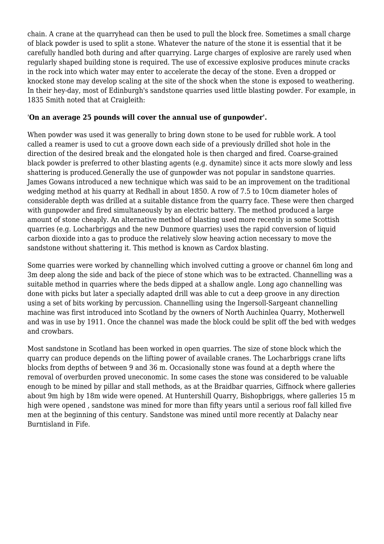chain. A crane at the quarryhead can then be used to pull the block free. Sometimes a small charge of black powder is used to split a stone. Whatever the nature of the stone it is essential that it be carefully handled both during and after quarrying. Large charges of explosive are rarely used when regularly shaped building stone is required. The use of excessive explosive produces minute cracks in the rock into which water may enter to accelerate the decay of the stone. Even a dropped or knocked stone may develop scaling at the site of the shock when the stone is exposed to weathering. In their hey-day, most of Edinburgh's sandstone quarries used little blasting powder. For example, in 1835 Smith noted that at Craigleith:

#### '**On an average 25 pounds will cover the annual use of gunpowder'.**

When powder was used it was generally to bring down stone to be used for rubble work. A tool called a reamer is used to cut a groove down each side of a previously drilled shot hole in the direction of the desired break and the elongated hole is then charged and fired. Coarse-grained black powder is preferred to other blasting agents (e.g. dynamite) since it acts more slowly and less shattering is produced.Generally the use of gunpowder was not popular in sandstone quarries. James Gowans introduced a new technique which was said to be an improvement on the traditional wedging method at his quarry at Redhall in about 1850. A row of 7.5 to 10cm diameter holes of considerable depth was drilled at a suitable distance from the quarry face. These were then charged with gunpowder and fired simultaneously by an electric battery. The method produced a large amount of stone cheaply. An alternative method of blasting used more recently in some Scottish quarries (e.g. Locharbriggs and the new Dunmore quarries) uses the rapid conversion of liquid carbon dioxide into a gas to produce the relatively slow heaving action necessary to move the sandstone without shattering it. This method is known as Cardox blasting.

Some quarries were worked by channelling which involved cutting a groove or channel 6m long and 3m deep along the side and back of the piece of stone which was to be extracted. Channelling was a suitable method in quarries where the beds dipped at a shallow angle. Long ago channelling was done with picks but later a specially adapted drill was able to cut a deep groove in any direction using a set of bits working by percussion. Channelling using the Ingersoll-Sargeant channelling machine was first introduced into Scotland by the owners of North Auchinlea Quarry, Motherwell and was in use by 1911. Once the channel was made the block could be split off the bed with wedges and crowbars.

Most sandstone in Scotland has been worked in open quarries. The size of stone block which the quarry can produce depends on the lifting power of available cranes. The Locharbriggs crane lifts blocks from depths of between 9 and 36 m. Occasionally stone was found at a depth where the removal of overburden proved uneconomic. In some cases the stone was considered to be valuable enough to be mined by pillar and stall methods, as at the Braidbar quarries, Giffnock where galleries about 9m high by 18m wide were opened. At Huntershill Quarry, Bishopbriggs, where galleries 15 m high were opened , sandstone was mined for more than fifty years until a serious roof fall killed five men at the beginning of this century. Sandstone was mined until more recently at Dalachy near Burntisland in Fife.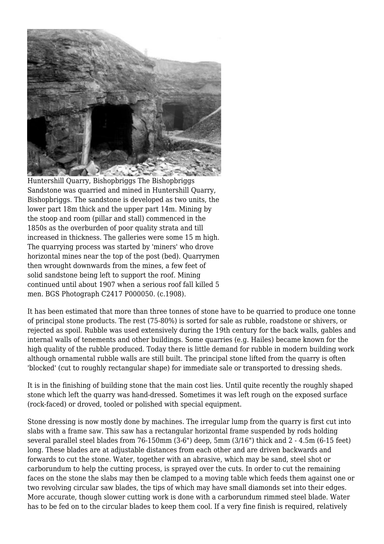

Huntershill Quarry, Bishopbriggs The Bishopbriggs Sandstone was quarried and mined in Huntershill Quarry, Bishopbriggs. The sandstone is developed as two units, the lower part 18m thick and the upper part 14m. Mining by the stoop and room (pillar and stall) commenced in the 1850s as the overburden of poor quality strata and till increased in thickness. The galleries were some 15 m high. The quarrying process was started by 'miners' who drove horizontal mines near the top of the post (bed). Quarrymen then wrought downwards from the mines, a few feet of solid sandstone being left to support the roof. Mining continued until about 1907 when a serious roof fall killed 5 men. BGS Photograph C2417 P000050. (c.1908).

It has been estimated that more than three tonnes of stone have to be quarried to produce one tonne of principal stone products. The rest (75-80%) is sorted for sale as rubble, roadstone or shivers, or rejected as spoil. Rubble was used extensively during the 19th century for the back walls, gables and internal walls of tenements and other buildings. Some quarries (e.g. Hailes) became known for the high quality of the rubble produced. Today there is little demand for rubble in modern building work although ornamental rubble walls are still built. The principal stone lifted from the quarry is often 'blocked' (cut to roughly rectangular shape) for immediate sale or transported to dressing sheds.

It is in the finishing of building stone that the main cost lies. Until quite recently the roughly shaped stone which left the quarry was hand-dressed. Sometimes it was left rough on the exposed surface (rock-faced) or droved, tooled or polished with special equipment.

Stone dressing is now mostly done by machines. The irregular lump from the quarry is first cut into slabs with a frame saw. This saw has a rectangular horizontal frame suspended by rods holding several parallel steel blades from 76-150mm (3-6") deep, 5mm (3/16") thick and 2 - 4.5m (6-15 feet) long. These blades are at adjustable distances from each other and are driven backwards and forwards to cut the stone. Water, together with an abrasive, which may be sand, steel shot or carborundum to help the cutting process, is sprayed over the cuts. In order to cut the remaining faces on the stone the slabs may then be clamped to a moving table which feeds them against one or two revolving circular saw blades, the tips of which may have small diamonds set into their edges. More accurate, though slower cutting work is done with a carborundum rimmed steel blade. Water has to be fed on to the circular blades to keep them cool. If a very fine finish is required, relatively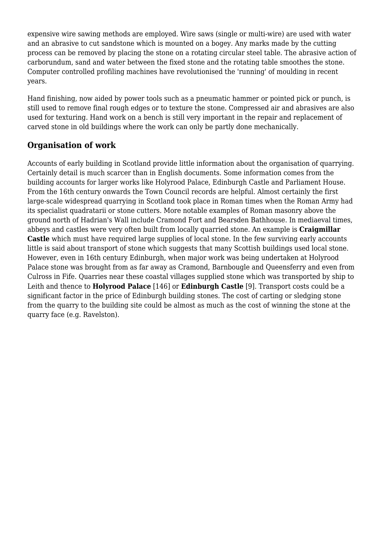expensive wire sawing methods are employed. Wire saws (single or multi-wire) are used with water and an abrasive to cut sandstone which is mounted on a bogey. Any marks made by the cutting process can be removed by placing the stone on a rotating circular steel table. The abrasive action of carborundum, sand and water between the fixed stone and the rotating table smoothes the stone. Computer controlled profiling machines have revolutionised the 'running' of moulding in recent years.

Hand finishing, now aided by power tools such as a pneumatic hammer or pointed pick or punch, is still used to remove final rough edges or to texture the stone. Compressed air and abrasives are also used for texturing. Hand work on a bench is still very important in the repair and replacement of carved stone in old buildings where the work can only be partly done mechanically.

#### **Organisation of work**

Accounts of early building in Scotland provide little information about the organisation of quarrying. Certainly detail is much scarcer than in English documents. Some information comes from the building accounts for larger works like Holyrood Palace, Edinburgh Castle and Parliament House. From the 16th century onwards the Town Council records are helpful. Almost certainly the first large-scale widespread quarrying in Scotland took place in Roman times when the Roman Army had its specialist quadratarii or stone cutters. More notable examples of Roman masonry above the ground north of Hadrian's Wall include Cramond Fort and Bearsden Bathhouse. In mediaeval times, abbeys and castles were very often built from locally quarried stone. An example is **Craigmillar Castle** which must have required large supplies of local stone. In the few surviving early accounts little is said about transport of stone which suggests that many Scottish buildings used local stone. However, even in 16th century Edinburgh, when major work was being undertaken at Holyrood Palace stone was brought from as far away as Cramond, Barnbougle and Queensferry and even from Culross in Fife. Quarries near these coastal villages supplied stone which was transported by ship to Leith and thence to **Holyrood Palace** [146] or **Edinburgh Castle** [9]. Transport costs could be a significant factor in the price of Edinburgh building stones. The cost of carting or sledging stone from the quarry to the building site could be almost as much as the cost of winning the stone at the quarry face (e.g. Ravelston).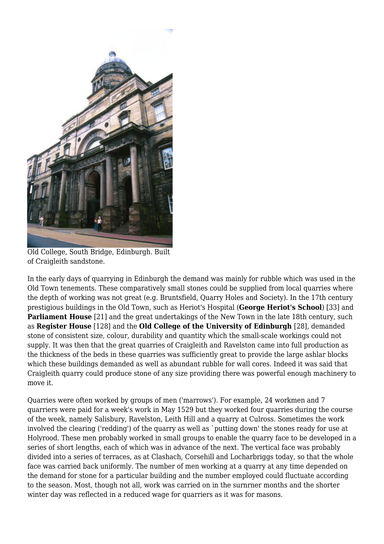

Old College, South Bridge, Edinburgh. Built of Craigleith sandstone.

In the early days of quarrying in Edinburgh the demand was mainly for rubble which was used in the Old Town tenements. These comparatively small stones could be supplied from local quarries where the depth of working was not great (e.g. Bruntsfield, Quarry Holes and Society). In the 17th century prestigious buildings in the Old Town, such as Heriot's Hospital (**George Heriot's School**) [33] and **Parliament House** [21] and the great undertakings of the New Town in the late 18th century, such as **Register House** [128] and the **Old College of the University of Edinburgh** [28], demanded stone of consistent size, colour, durability and quantity which the small-scale workings could not supply. It was then that the great quarries of Craigleith and Ravelston came into full production as the thickness of the beds in these quarries was sufficiently great to provide the large ashlar blocks which these buildings demanded as well as abundant rubble for wall cores. Indeed it was said that Craigleith quarry could produce stone of any size providing there was powerful enough machinery to move it.

Quarries were often worked by groups of men ('marrows'). For example, 24 workmen and 7 quarriers were paid for a week's work in May 1529 but they worked four quarries during the course of the week, namely Salisbury, Ravelston, Leith Hill and a quarry at Culross. Sometimes the work involved the clearing ('redding') of the quarry as well as `putting down' the stones ready for use at Holyrood. These men probably worked in small groups to enable the quarry face to be developed in a series of short lengths, each of which was in advance of the next. The vertical face was probably divided into a series of terraces, as at Clashach, Corsehill and Locharbriggs today, so that the whole face was carried back uniformly. The number of men working at a quarry at any time depended on the demand for stone for a particular building and the number employed could fluctuate according to the season. Most, though not all, work was carried on in the surnrner months and the shorter winter day was reflected in a reduced wage for quarriers as it was for masons.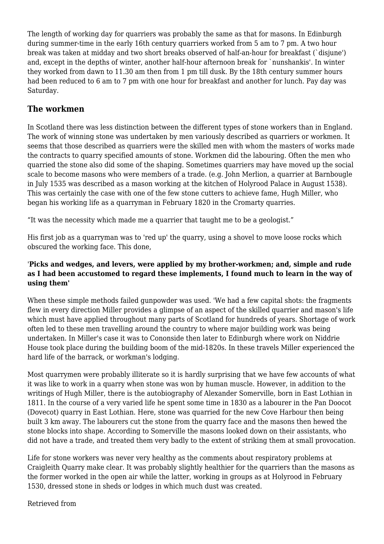The length of working day for quarriers was probably the same as that for masons. In Edinburgh during summer-time in the early 16th century quarriers worked from 5 am to 7 pm. A two hour break was taken at midday and two short breaks observed of half-an-hour for breakfast (`disjune') and, except in the depths of winter, another half-hour afternoon break for `nunshankis'. In winter they worked from dawn to 11.30 am then from 1 pm till dusk. By the 18th century summer hours had been reduced to 6 am to 7 pm with one hour for breakfast and another for lunch. Pay day was Saturday.

#### **The workmen**

In Scotland there was less distinction between the different types of stone workers than in England. The work of winning stone was undertaken by men variously described as quarriers or workmen. It seems that those described as quarriers were the skilled men with whom the masters of works made the contracts to quarry specified amounts of stone. Workmen did the labouring. Often the men who quarried the stone also did some of the shaping. Sometimes quarriers may have moved up the social scale to become masons who were members of a trade. (e.g. John Merlion, a quarrier at Barnbougle in July 1535 was described as a mason working at the kitchen of Holyrood Palace in August 1538). This was certainly the case with one of the few stone cutters to achieve fame, Hugh Miller, who began his working life as a quarryman in February 1820 in the Cromarty quarries.

"It was the necessity which made me a quarrier that taught me to be a geologist."

His first job as a quarryman was to 'red up' the quarry, using a shovel to move loose rocks which obscured the working face. This done,

#### '**Picks and wedges, and levers, were applied by my brother-workmen; and, simple and rude as I had been accustomed to regard these implements, I found much to learn in the way of using them'**

When these simple methods failed gunpowder was used. 'We had a few capital shots: the fragments flew in every direction Miller provides a glimpse of an aspect of the skilled quarrier and mason's life which must have applied throughout many parts of Scotland for hundreds of years. Shortage of work often led to these men travelling around the country to where major building work was being undertaken. In Miller's case it was to Cononside then later to Edinburgh where work on Niddrie House took place during the building boom of the mid-1820s. In these travels Miller experienced the hard life of the barrack, or workman's lodging.

Most quarrymen were probably illiterate so it is hardly surprising that we have few accounts of what it was like to work in a quarry when stone was won by human muscle. However, in addition to the writings of Hugh Miller, there is the autobiography of Alexander Somerville, born in East Lothian in 1811. In the course of a very varied life he spent some time in 1830 as a labourer in the Pan Doocot (Dovecot) quarry in East Lothian. Here, stone was quarried for the new Cove Harbour then being built 3 km away. The labourers cut the stone from the quarry face and the masons then hewed the stone blocks into shape. According to Somerville the masons looked down on their assistants, who did not have a trade, and treated them very badly to the extent of striking them at small provocation.

Life for stone workers was never very healthy as the comments about respiratory problems at Craigleith Quarry make clear. It was probably slightly healthier for the quarriers than the masons as the former worked in the open air while the latter, working in groups as at Holyrood in February 1530, dressed stone in sheds or lodges in which much dust was created.

Retrieved from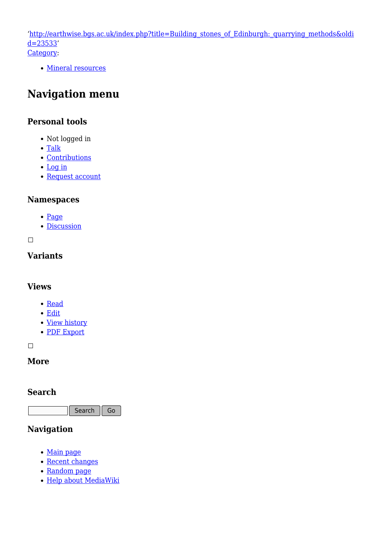'[http://earthwise.bgs.ac.uk/index.php?title=Building\\_stones\\_of\\_Edinburgh:\\_quarrying\\_methods&oldi](http://earthwise.bgs.ac.uk/index.php?title=Building_stones_of_Edinburgh:_quarrying_methods&oldid=23533)  $d=23533'$ [Category](http://earthwise.bgs.ac.uk/index.php/Special:Categories):

• [Mineral resources](http://earthwise.bgs.ac.uk/index.php/Category:Mineral_resources)

### **Navigation menu**

#### **Personal tools**

- Not logged in
- [Talk](http://earthwise.bgs.ac.uk/index.php/Special:MyTalk)
- [Contributions](http://earthwise.bgs.ac.uk/index.php/Special:MyContributions)
- [Log in](http://earthwise.bgs.ac.uk/index.php?title=Special:UserLogin&returnto=Building+stones+of+Edinburgh%3A+quarrying+methods&returntoquery=action%3Dmpdf)
- [Request account](http://earthwise.bgs.ac.uk/index.php/Special:RequestAccount)

#### **Namespaces**

- [Page](http://earthwise.bgs.ac.uk/index.php/Building_stones_of_Edinburgh:_quarrying_methods)
- [Discussion](http://earthwise.bgs.ac.uk/index.php?title=Talk:Building_stones_of_Edinburgh:_quarrying_methods&action=edit&redlink=1)

 $\Box$ 

#### **Variants**

#### **Views**

- [Read](http://earthwise.bgs.ac.uk/index.php/Building_stones_of_Edinburgh:_quarrying_methods)
- [Edit](http://earthwise.bgs.ac.uk/index.php?title=Building_stones_of_Edinburgh:_quarrying_methods&action=edit)
- [View history](http://earthwise.bgs.ac.uk/index.php?title=Building_stones_of_Edinburgh:_quarrying_methods&action=history)
- [PDF Export](http://earthwise.bgs.ac.uk/index.php?title=Building_stones_of_Edinburgh:_quarrying_methods&action=mpdf)

 $\overline{\phantom{a}}$ 

#### **More**

#### **Search**

Search  $\|$  Go

### **Navigation**

- [Main page](http://earthwise.bgs.ac.uk/index.php/Main_Page)
- [Recent changes](http://earthwise.bgs.ac.uk/index.php/Special:RecentChanges)
- [Random page](http://earthwise.bgs.ac.uk/index.php/Special:Random)
- [Help about MediaWiki](https://www.mediawiki.org/wiki/Special:MyLanguage/Help:Contents)